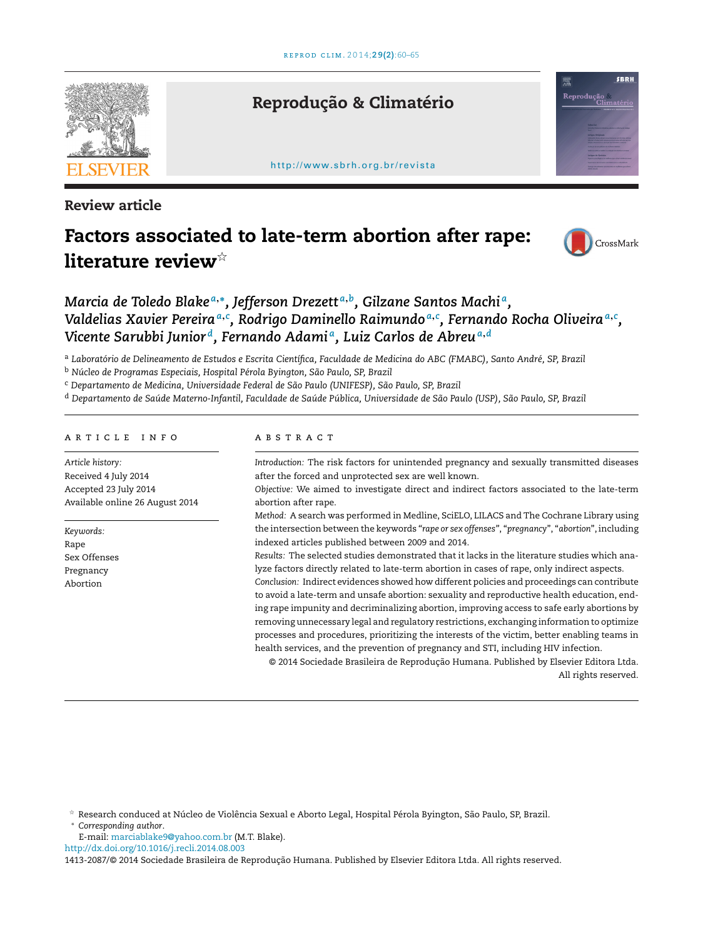

**Review article**

# **Factors associated to late-term abortion after rape: literature review**-



# *Marcia de Toledo Blake <sup>a</sup>***,∗***, Jefferson Drezett <sup>a</sup>***,***b, Gilzane Santos Machi a,* Valdelias Xavier Pereiraª<sup>,c</sup>, Rodrigo Daminello Raimundoª<sup>,c</sup>, Fernando Rocha Oliveiraª<sup>,c</sup>, *Vicente Sarubbi Junior d, Fernando Adami a, Luiz Carlos de Abreu<sup>a</sup>***,***<sup>d</sup>*

a Laboratório de Delineamento de Estudos e Escrita Científica, Faculdade de Medicina do ABC (FMABC), Santo André, SP, Brazil

<sup>b</sup> *Núcleo de Programas Especiais, Hospital Pérola Byington, São Paulo, SP, Brazil*

<sup>c</sup> *Departamento de Medicina, Universidade Federal de São Paulo (UNIFESP), São Paulo, SP, Brazil*

<sup>d</sup> Departamento de Saúde Materno-Infantil, Faculdade de Saúde Pública, Universidade de São Paulo (USP), São Paulo, SP, Brazil

### a r t i c l e i n f o

*Article history:* Received 4 July 2014 Accepted 23 July 2014 Available online 26 August 2014

*Keywords:* Rape Sex Offenses Pregnancy Abortion

### A B S T R A C T

*Introduction:* The risk factors for unintended pregnancy and sexually transmitted diseases after the forced and unprotected sex are well known.

*Objective:* We aimed to investigate direct and indirect factors associated to the late-term abortion after rape.

*Method:* A search was performed in Medline, SciELO, LILACS and The Cochrane Library using the intersection between the keywords *"rape or sex offenses"*, "*pregnancy*", "*abortion*", including indexed articles published between 2009 and 2014.

*Results:* The selected studies demonstrated that it lacks in the literature studies which analyze factors directly related to late-term abortion in cases of rape, only indirect aspects.

*Conclusion:* Indirect evidences showed how different policies and proceedings can contribute to avoid a late-term and unsafe abortion: sexuality and reproductive health education, ending rape impunity and decriminalizing abortion, improving access to safe early abortions by removing unnecessary legal and regulatory restrictions, exchanging information to optimize processes and procedures, prioritizing the interests of the victim, better enabling teams in health services, and the prevention of pregnancy and STI, including HIV infection.

© 2014 Sociedade Brasileira de Reprodução Humana. Published by Elsevier Editora Ltda. All rights reserved.

 $^\star$  Research conduced at Núcleo de Violência Sexual e Aborto Legal, Hospital Pérola Byington, São Paulo, SP, Brazil.

∗ *Corresponding author*.

E-mail: [marciablake9@yahoo.com.br](mailto:marciablake9@yahoo.com.br) (M.T. Blake).

[http://dx.doi.org/10.1016/j.recli.2014.08.003](dx.doi.org/10.1016/j.recli.2014.08.003)

1413-2087/© 2014 Sociedade Brasileira de Reprodução Humana. Published by Elsevier Editora Ltda. All rights reserved.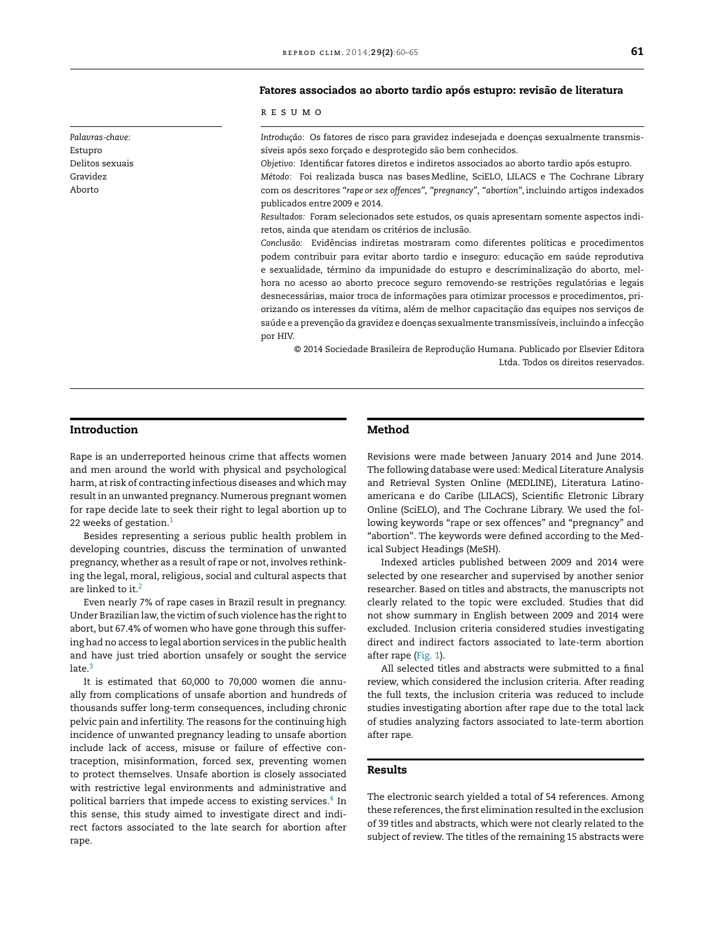#### **Fatores associados ao aborto tardio após estupro: revisão de literatura**

#### r e s u m o

*Introdução:* Os fatores de risco para gravidez indesejada e doenças sexualmente transmissíveis após sexo forçado e desprotegido são bem conhecidos.

*Objetivo:* Identificar fatores diretos e indiretos associados ao aborto tardio após estupro.

*Método:* Foi realizada busca nas bases Medline, SciELO, LILACS e The Cochrane Library com os descritores *"rape or sex offences", "pregnancy", "abortion"*, incluindo artigos indexados publicados entre 2009 e 2014.

*Resultados:* Foram selecionados sete estudos, os quais apresentam somente aspectos indiretos, ainda que atendam os critérios de inclusão.

*Conclusão:* Evidências indiretas mostraram como diferentes políticas e procedimentos podem contribuir para evitar aborto tardio e inseguro: educação em saúde reprodutiva e sexualidade, término da impunidade do estupro e descriminalização do aborto, melhora no acesso ao aborto precoce seguro removendo-se restrições regulatórias e legais desnecessárias, maior troca de informações para otimizar processos e procedimentos, priorizando os interesses da vítima, além de melhor capacitação das equipes nos serviços de saúde e a prevenção da gravidez e doenças sexualmente transmissíveis, incluindo a infecção por HIV.

© 2014 Sociedade Brasileira de Reproduc¸ão Humana. Publicado por Elsevier Editora Ltda. Todos os direitos reservados.

#### **Introduction**

Rape is an underreported heinous crime that affects women and men around the world with physical and psychological harm, at risk of contracting infectious diseases and which may result in an unwanted pregnancy. Numerous pregnant women for rape decide late to seek their right to legal abortion up to 22 weeks of gestation. $1$ 

Besides representing a serious public health problem in developing countries, discuss the termination of unwanted pregnancy, whether as a result of rape or not, involves rethinking the legal, moral, religious, social and cultural aspects that are linked to it.<sup>2</sup>

Even nearly 7% of rape cases in Brazil result in pregnancy. Under Brazilian law, the victim of such violence has the right to abort, but 67.4% of women who have gone through this suffering had no access to legal abortion services in the public health and have just tried abortion unsafely or sought the service  $lete<sup>3</sup>$  $lete<sup>3</sup>$  $lete<sup>3</sup>$ 

It is estimated that 60,000 to 70,000 women die annually from complications of unsafe abortion and hundreds of thousands suffer long-term consequences, including chronic pelvic pain and infertility. The reasons for the continuing high incidence of unwanted pregnancy leading to unsafe abortion include lack of access, misuse or failure of effective contraception, misinformation, forced sex, preventing women to protect themselves. Unsafe abortion is closely associated with restrictive legal environments and administrative and political barriers that impede access to existing services.<sup>[4](#page-4-0)</sup> In this sense, this study aimed to investigate direct and indirect factors associated to the late search for abortion after rape.

#### **Method**

Revisions were made between January 2014 and June 2014. The following database were used: Medical Literature Analysis and Retrieval Systen Online (MEDLINE), Literatura Latinoamericana e do Caribe (LILACS), Scientific Eletronic Library Online (SciELO), and The Cochrane Library. We used the following keywords "rape or sex offences" and "pregnancy" and "abortion". The keywords were defined according to the Medical Subject Headings (MeSH).

Indexed articles published between 2009 and 2014 were selected by one researcher and supervised by another senior researcher. Based on titles and abstracts, the manuscripts not clearly related to the topic were excluded. Studies that did not show summary in English between 2009 and 2014 were excluded. Inclusion criteria considered studies investigating direct and indirect factors associated to late-term abortion after rape ([Fig.](#page-2-0) 1).

All selected titles and abstracts were submitted to a final review, which considered the inclusion criteria. After reading the full texts, the inclusion criteria was reduced to include studies investigating abortion after rape due to the total lack of studies analyzing factors associated to late-term abortion after rape.

#### **Results**

The electronic search yielded a total of 54 references. Among these references, the first elimination resulted in the exclusion of 39 titles and abstracts, which were not clearly related to the subject of review. The titles of the remaining 15 abstracts were

*Palavras-chave:* Estupro Delitos sexuais Gravidez Aborto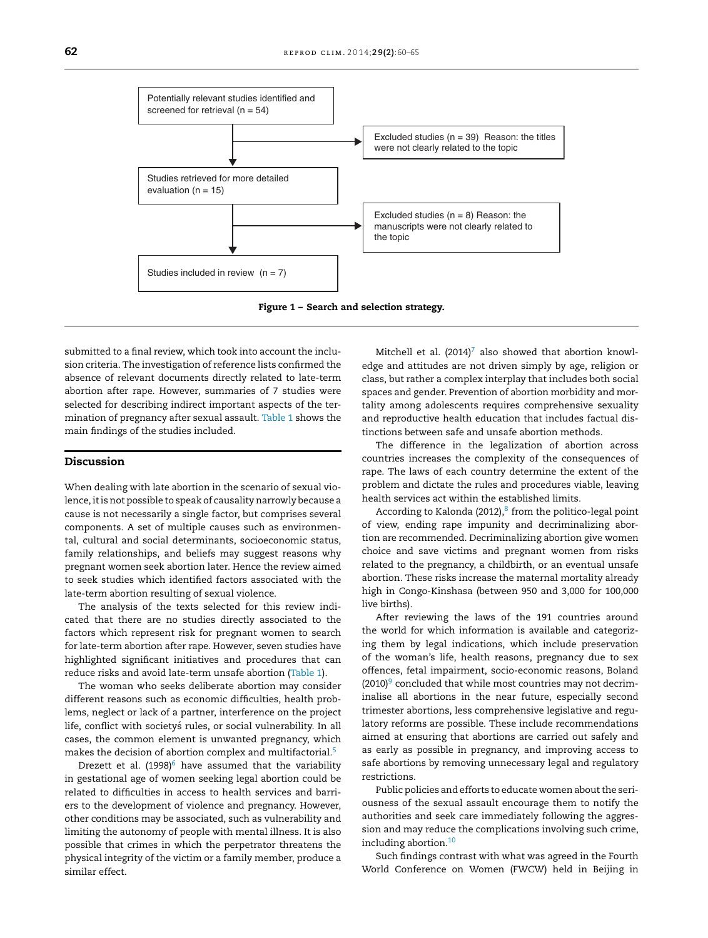<span id="page-2-0"></span>



submitted to a final review, which took into account the inclusion criteria. The investigation of reference lists confirmed the absence of relevant documents directly related to late-term abortion after rape. However, summaries of 7 studies were selected for describing indirect important aspects of the termination of pregnancy after sexual assault. [Table](#page-3-0) 1 shows the main findings of the studies included.

#### **Discussion**

When dealing with late abortion in the scenario of sexual violence, it is not possible to speak of causality narrowly because a cause is not necessarily a single factor, but comprises several components. A set of multiple causes such as environmental, cultural and social determinants, socioeconomic status, family relationships, and beliefs may suggest reasons why pregnant women seek abortion later. Hence the review aimed to seek studies which identified factors associated with the late-term abortion resulting of sexual violence.

The analysis of the texts selected for this review indicated that there are no studies directly associated to the factors which represent risk for pregnant women to search for late-term abortion after rape. However, seven studies have highlighted significant initiatives and procedures that can reduce risks and avoid late-term unsafe abortion ([Table](#page-3-0) 1).

The woman who seeks deliberate abortion may consider different reasons such as economic difficulties, health problems, neglect or lack of a partner, interference on the project life, conflict with societyś rules, or social vulnerability. In all cases, the common element is unwanted pregnancy, which makes the decision of abortion complex and multifactorial.[5](#page-4-0)

Drezett et al.  $(1998)^6$  $(1998)^6$  have assumed that the variability in gestational age of women seeking legal abortion could be related to difficulties in access to health services and barriers to the development of violence and pregnancy. However, other conditions may be associated, such as vulnerability and limiting the autonomy of people with mental illness. It is also possible that crimes in which the perpetrator threatens the physical integrity of the victim or a family member, produce a similar effect.

Mitchell et al.  $(2014)^7$  $(2014)^7$  also showed that abortion knowledge and attitudes are not driven simply by age, religion or class, but rather a complex interplay that includes both social spaces and gender. Prevention of abortion morbidity and mortality among adolescents requires comprehensive sexuality and reproductive health education that includes factual distinctions between safe and unsafe abortion methods.

The difference in the legalization of abortion across countries increases the complexity of the consequences of rape. The laws of each country determine the extent of the problem and dictate the rules and procedures viable, leaving health services act within the established limits.

According to Kalonda (2012), $8$  from the politico-legal point of view, ending rape impunity and decriminalizing abortion are recommended. Decriminalizing abortion give women choice and save victims and pregnant women from risks related to the pregnancy, a childbirth, or an eventual unsafe abortion. These risks increase the maternal mortality already high in Congo-Kinshasa (between 950 and 3,000 for 100,000 live births).

After reviewing the laws of the 191 countries around the world for which information is available and categorizing them by legal indications, which include preservation of the woman's life, health reasons, pregnancy due to sex offences, fetal impairment, socio-economic reasons, Boland  $(2010)^9$  concluded that while most countries may not decriminalise all abortions in the near future, especially second trimester abortions, less comprehensive legislative and regulatory reforms are possible. These include recommendations aimed at ensuring that abortions are carried out safely and as early as possible in pregnancy, and improving access to safe abortions by removing unnecessary legal and regulatory restrictions.

Public policies and efforts to educate women about the seriousness of the sexual assault encourage them to notify the authorities and seek care immediately following the aggression and may reduce the complications involving such crime, including abortion.[10](#page-4-0)

Such findings contrast with what was agreed in the Fourth World Conference on Women (FWCW) held in Beijing in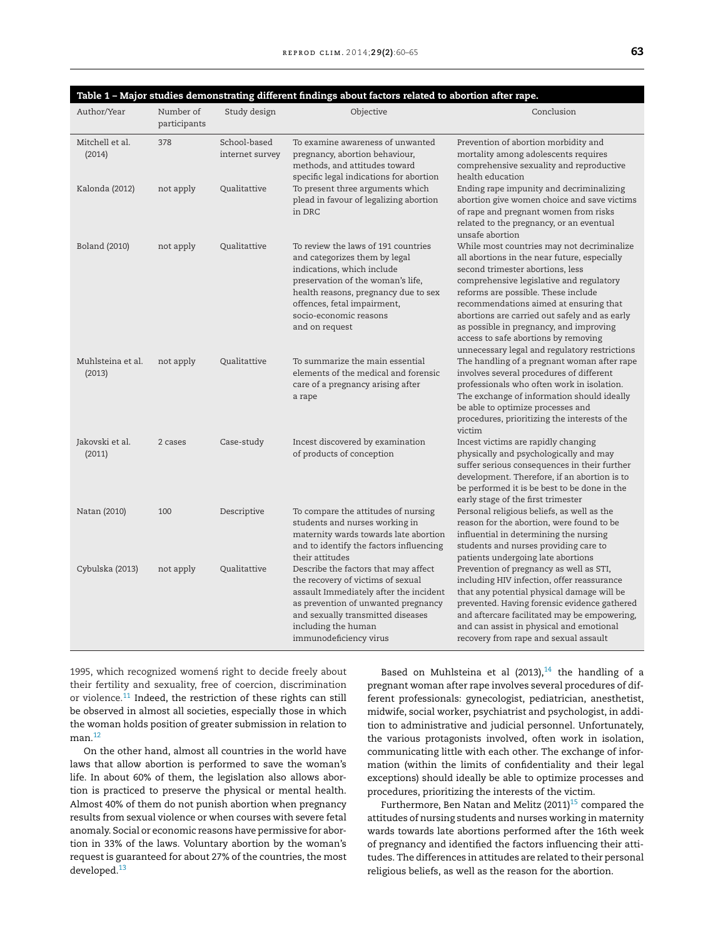<span id="page-3-0"></span>

| Table 1 - Major studies demonstrating different findings about factors related to abortion after rape. |                           |                                 |                                                                                                                                                                                                                                                            |                                                                                                                                                                                                                                                                                                                                                                                                                                                  |
|--------------------------------------------------------------------------------------------------------|---------------------------|---------------------------------|------------------------------------------------------------------------------------------------------------------------------------------------------------------------------------------------------------------------------------------------------------|--------------------------------------------------------------------------------------------------------------------------------------------------------------------------------------------------------------------------------------------------------------------------------------------------------------------------------------------------------------------------------------------------------------------------------------------------|
| Author/Year                                                                                            | Number of<br>participants | Study design                    | Objective                                                                                                                                                                                                                                                  | Conclusion                                                                                                                                                                                                                                                                                                                                                                                                                                       |
| Mitchell et al.<br>(2014)                                                                              | 378                       | School-based<br>internet survey | To examine awareness of unwanted<br>pregnancy, abortion behaviour,<br>methods, and attitudes toward<br>specific legal indications for abortion                                                                                                             | Prevention of abortion morbidity and<br>mortality among adolescents requires<br>comprehensive sexuality and reproductive<br>health education                                                                                                                                                                                                                                                                                                     |
| Kalonda (2012)                                                                                         | not apply                 | Qualitattive                    | To present three arguments which<br>plead in favour of legalizing abortion<br>in DRC                                                                                                                                                                       | Ending rape impunity and decriminalizing<br>abortion give women choice and save victims<br>of rape and pregnant women from risks<br>related to the pregnancy, or an eventual<br>unsafe abortion                                                                                                                                                                                                                                                  |
| <b>Boland</b> (2010)                                                                                   | not apply                 | Qualitattive                    | To review the laws of 191 countries<br>and categorizes them by legal<br>indications, which include<br>preservation of the woman's life,<br>health reasons, pregnancy due to sex<br>offences, fetal impairment,<br>socio-economic reasons<br>and on request | While most countries may not decriminalize<br>all abortions in the near future, especially<br>second trimester abortions, less<br>comprehensive legislative and regulatory<br>reforms are possible. These include<br>recommendations aimed at ensuring that<br>abortions are carried out safely and as early<br>as possible in pregnancy, and improving<br>access to safe abortions by removing<br>unnecessary legal and regulatory restrictions |
| Muhlsteina et al.<br>(2013)                                                                            | not apply                 | Qualitattive                    | To summarize the main essential<br>elements of the medical and forensic<br>care of a pregnancy arising after<br>a rape                                                                                                                                     | The handling of a pregnant woman after rape<br>involves several procedures of different<br>professionals who often work in isolation.<br>The exchange of information should ideally<br>be able to optimize processes and<br>procedures, prioritizing the interests of the<br>victim                                                                                                                                                              |
| Jakovski et al.<br>(2011)                                                                              | 2 cases                   | Case-study                      | Incest discovered by examination<br>of products of conception                                                                                                                                                                                              | Incest victims are rapidly changing<br>physically and psychologically and may<br>suffer serious consequences in their further<br>development. Therefore, if an abortion is to<br>be performed it is be best to be done in the<br>early stage of the first trimester                                                                                                                                                                              |
| Natan (2010)                                                                                           | 100                       | Descriptive                     | To compare the attitudes of nursing<br>students and nurses working in<br>maternity wards towards late abortion<br>and to identify the factors influencing<br>their attitudes                                                                               | Personal religious beliefs, as well as the<br>reason for the abortion, were found to be<br>influential in determining the nursing<br>students and nurses providing care to<br>patients undergoing late abortions                                                                                                                                                                                                                                 |
| Cybulska (2013)                                                                                        | not apply                 | Qualitattive                    | Describe the factors that may affect<br>the recovery of victims of sexual<br>assault Immediately after the incident<br>as prevention of unwanted pregnancy<br>and sexually transmitted diseases<br>including the human<br>immunodeficiency virus           | Prevention of pregnancy as well as STI,<br>including HIV infection, offer reassurance<br>that any potential physical damage will be<br>prevented. Having forensic evidence gathered<br>and aftercare facilitated may be empowering,<br>and can assist in physical and emotional<br>recovery from rape and sexual assault                                                                                                                         |

1995, which recognized womenś right to decide freely about their fertility and sexuality, free of coercion, discrimination or violence.<sup>[11](#page-4-0)</sup> Indeed, the restriction of these rights can still be observed in almost all societies, especially those in which the woman holds position of greater submission in relation to man[.12](#page-4-0)

On the other hand, almost all countries in the world have laws that allow abortion is performed to save the woman's life. In about 60% of them, the legislation also allows abortion is practiced to preserve the physical or mental health. Almost 40% of them do not punish abortion when pregnancy results from sexual violence or when courses with severe fetal anomaly. Social or economic reasons have permissive for abortion in 33% of the laws. Voluntary abortion by the woman's request is guaranteed for about 27% of the countries, the most developed[.13](#page-4-0)

Based on Muhlsteina et al  $(2013)$ ,<sup>[14](#page-4-0)</sup> the handling of a pregnant woman after rape involves several procedures of different professionals: gynecologist, pediatrician, anesthetist, midwife, social worker, psychiatrist and psychologist, in addition to administrative and judicial personnel. Unfortunately, the various protagonists involved, often work in isolation, communicating little with each other. The exchange of information (within the limits of confidentiality and their legal exceptions) should ideally be able to optimize processes and procedures, prioritizing the interests of the victim.

Furthermore, Ben Natan and Melitz  $(2011)^{15}$  compared the attitudes of nursing students and nurses working in maternity wards towards late abortions performed after the 16th week of pregnancy and identified the factors influencing their attitudes. The differences in attitudes are related to their personal religious beliefs, as well as the reason for the abortion.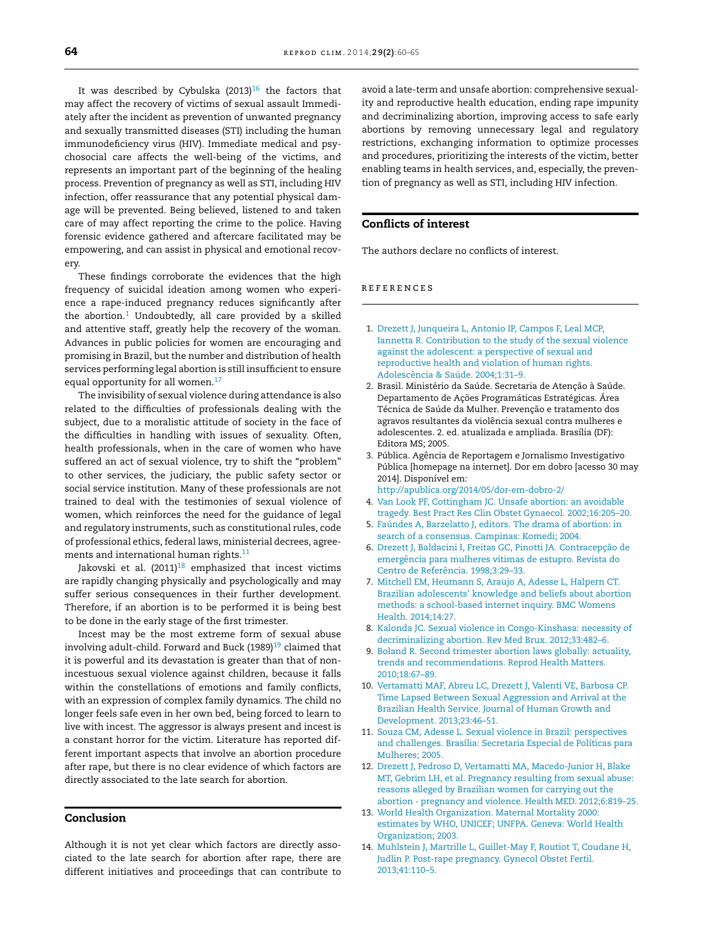<span id="page-4-0"></span>It was described by Cybulska  $(2013)^{16}$  the factors that may affect the recovery of victims of sexual assault Immediately after the incident as prevention of unwanted pregnancy and sexually transmitted diseases (STI) including the human immunodeficiency virus (HIV). Immediate medical and psychosocial care affects the well-being of the victims, and represents an important part of the beginning of the healing process. Prevention of pregnancy as well as STI, including HIV infection, offer reassurance that any potential physical damage will be prevented. Being believed, listened to and taken care of may affect reporting the crime to the police. Having forensic evidence gathered and aftercare facilitated may be empowering, and can assist in physical and emotional recovery.

These findings corroborate the evidences that the high frequency of suicidal ideation among women who experience a rape-induced pregnancy reduces significantly after the abortion.<sup>1</sup> Undoubtedly, all care provided by a skilled and attentive staff, greatly help the recovery of the woman. Advances in public policies for women are encouraging and promising in Brazil, but the number and distribution of health services performing legal abortion is still insufficient to ensure equal opportunity for all women. $17$ 

The invisibility of sexual violence during attendance is also related to the difficulties of professionals dealing with the subject, due to a moralistic attitude of society in the face of the difficulties in handling with issues of sexuality. Often, health professionals, when in the care of women who have suffered an act of sexual violence, try to shift the "problem" to other services, the judiciary, the public safety sector or social service institution. Many of these professionals are not trained to deal with the testimonies of sexual violence of women, which reinforces the need for the guidance of legal and regulatory instruments, such as constitutional rules, code of professional ethics, federal laws, ministerial decrees, agreements and international human rights.<sup>11</sup>

Jakovski et al.  $(2011)^{18}$  $(2011)^{18}$  $(2011)^{18}$  emphasized that incest victims are rapidly changing physically and psychologically and may suffer serious consequences in their further development. Therefore, if an abortion is to be performed it is being best to be done in the early stage of the first trimester.

Incest may be the most extreme form of sexual abuse involving adult-child. Forward and Buck  $(1989)^{19}$  $(1989)^{19}$  $(1989)^{19}$  claimed that it is powerful and its devastation is greater than that of nonincestuous sexual violence against children, because it falls within the constellations of emotions and family conflicts, with an expression of complex family dynamics. The child no longer feels safe even in her own bed, being forced to learn to live with incest. The aggressor is always present and incest is a constant horror for the victim. Literature has reported different important aspects that involve an abortion procedure after rape, but there is no clear evidence of which factors are directly associated to the late search for abortion.

## **Conclusion**

Although it is not yet clear which factors are directly associated to the late search for abortion after rape, there are different initiatives and proceedings that can contribute to avoid a late-term and unsafe abortion: comprehensive sexuality and reproductive health education, ending rape impunity and decriminalizing abortion, improving access to safe early abortions by removing unnecessary legal and regulatory restrictions, exchanging information to optimize processes and procedures, prioritizing the interests of the victim, better enabling teams in health services, and, especially, the prevention of pregnancy as well as STI, including HIV infection.

### **Conflicts of interest**

The authors declare no conflicts of interest.

#### **REFERENCES**

- 1. [Drezett](http://refhub.elsevier.com/S1413-2087(14)00041-7/sbref0005) [J,](http://refhub.elsevier.com/S1413-2087(14)00041-7/sbref0005) [Junqueira](http://refhub.elsevier.com/S1413-2087(14)00041-7/sbref0005) [L,](http://refhub.elsevier.com/S1413-2087(14)00041-7/sbref0005) [Antonio](http://refhub.elsevier.com/S1413-2087(14)00041-7/sbref0005) [IP,](http://refhub.elsevier.com/S1413-2087(14)00041-7/sbref0005) [Campos](http://refhub.elsevier.com/S1413-2087(14)00041-7/sbref0005) [F,](http://refhub.elsevier.com/S1413-2087(14)00041-7/sbref0005) [Leal](http://refhub.elsevier.com/S1413-2087(14)00041-7/sbref0005) [MCP,](http://refhub.elsevier.com/S1413-2087(14)00041-7/sbref0005) [Iannetta](http://refhub.elsevier.com/S1413-2087(14)00041-7/sbref0005) [R.](http://refhub.elsevier.com/S1413-2087(14)00041-7/sbref0005) [Contribution](http://refhub.elsevier.com/S1413-2087(14)00041-7/sbref0005) [to](http://refhub.elsevier.com/S1413-2087(14)00041-7/sbref0005) [the](http://refhub.elsevier.com/S1413-2087(14)00041-7/sbref0005) [study](http://refhub.elsevier.com/S1413-2087(14)00041-7/sbref0005) [of](http://refhub.elsevier.com/S1413-2087(14)00041-7/sbref0005) [the](http://refhub.elsevier.com/S1413-2087(14)00041-7/sbref0005) [sexual](http://refhub.elsevier.com/S1413-2087(14)00041-7/sbref0005) [violence](http://refhub.elsevier.com/S1413-2087(14)00041-7/sbref0005) [against](http://refhub.elsevier.com/S1413-2087(14)00041-7/sbref0005) [the](http://refhub.elsevier.com/S1413-2087(14)00041-7/sbref0005) [adolescent:](http://refhub.elsevier.com/S1413-2087(14)00041-7/sbref0005) [a](http://refhub.elsevier.com/S1413-2087(14)00041-7/sbref0005) [perspective](http://refhub.elsevier.com/S1413-2087(14)00041-7/sbref0005) [of](http://refhub.elsevier.com/S1413-2087(14)00041-7/sbref0005) [sexual](http://refhub.elsevier.com/S1413-2087(14)00041-7/sbref0005) [and](http://refhub.elsevier.com/S1413-2087(14)00041-7/sbref0005) [reproductive](http://refhub.elsevier.com/S1413-2087(14)00041-7/sbref0005) [health](http://refhub.elsevier.com/S1413-2087(14)00041-7/sbref0005) [and](http://refhub.elsevier.com/S1413-2087(14)00041-7/sbref0005) [violation](http://refhub.elsevier.com/S1413-2087(14)00041-7/sbref0005) [of](http://refhub.elsevier.com/S1413-2087(14)00041-7/sbref0005) [human](http://refhub.elsevier.com/S1413-2087(14)00041-7/sbref0005) [rights.](http://refhub.elsevier.com/S1413-2087(14)00041-7/sbref0005) [Adolescência](http://refhub.elsevier.com/S1413-2087(14)00041-7/sbref0005) [&](http://refhub.elsevier.com/S1413-2087(14)00041-7/sbref0005) [Saúde.](http://refhub.elsevier.com/S1413-2087(14)00041-7/sbref0005) [2004;1:31](http://refhub.elsevier.com/S1413-2087(14)00041-7/sbref0005)–[9.](http://refhub.elsevier.com/S1413-2087(14)00041-7/sbref0005)
- 2. Brasil. Ministério da Saúde. Secretaria de Atenção à Saúde. Departamento de Ações Programáticas Estratégicas. Área Técnica de Saúde da Mulher. Prevenção e tratamento dos agravos resultantes da violência sexual contra mulheres e adolescentes. 2. ed. atualizada e ampliada. Brasília (DF): Editora MS; 2005.
- 3. Pública. Agência de Reportagem e Jornalismo Investigativo Pública [homepage na internet]. Dor em dobro [acesso 30 may 2014]. Disponível em:
	- <http://apublica.org/2014/05/dor-em-dobro-2/>
- 4. [Van](http://refhub.elsevier.com/S1413-2087(14)00041-7/sbref0020) [Look](http://refhub.elsevier.com/S1413-2087(14)00041-7/sbref0020) [PF,](http://refhub.elsevier.com/S1413-2087(14)00041-7/sbref0020) [Cottingham](http://refhub.elsevier.com/S1413-2087(14)00041-7/sbref0020) [JC.](http://refhub.elsevier.com/S1413-2087(14)00041-7/sbref0020) [Unsafe](http://refhub.elsevier.com/S1413-2087(14)00041-7/sbref0020) [abortion:](http://refhub.elsevier.com/S1413-2087(14)00041-7/sbref0020) [an](http://refhub.elsevier.com/S1413-2087(14)00041-7/sbref0020) [avoidable](http://refhub.elsevier.com/S1413-2087(14)00041-7/sbref0020) [tragedy.](http://refhub.elsevier.com/S1413-2087(14)00041-7/sbref0020) [Best](http://refhub.elsevier.com/S1413-2087(14)00041-7/sbref0020) [Pract](http://refhub.elsevier.com/S1413-2087(14)00041-7/sbref0020) [Res](http://refhub.elsevier.com/S1413-2087(14)00041-7/sbref0020) [Clin](http://refhub.elsevier.com/S1413-2087(14)00041-7/sbref0020) [Obstet](http://refhub.elsevier.com/S1413-2087(14)00041-7/sbref0020) [Gynaecol.](http://refhub.elsevier.com/S1413-2087(14)00041-7/sbref0020) [2002;16:205](http://refhub.elsevier.com/S1413-2087(14)00041-7/sbref0020)–[20.](http://refhub.elsevier.com/S1413-2087(14)00041-7/sbref0020)
- 5. [Faúndes](http://refhub.elsevier.com/S1413-2087(14)00041-7/sbref0025) [A,](http://refhub.elsevier.com/S1413-2087(14)00041-7/sbref0025) [Barzelatto](http://refhub.elsevier.com/S1413-2087(14)00041-7/sbref0025) [J,](http://refhub.elsevier.com/S1413-2087(14)00041-7/sbref0025) [editors.](http://refhub.elsevier.com/S1413-2087(14)00041-7/sbref0025) [The](http://refhub.elsevier.com/S1413-2087(14)00041-7/sbref0025) [drama](http://refhub.elsevier.com/S1413-2087(14)00041-7/sbref0025) [of](http://refhub.elsevier.com/S1413-2087(14)00041-7/sbref0025) [abortion:](http://refhub.elsevier.com/S1413-2087(14)00041-7/sbref0025) [in](http://refhub.elsevier.com/S1413-2087(14)00041-7/sbref0025) [search](http://refhub.elsevier.com/S1413-2087(14)00041-7/sbref0025) [of](http://refhub.elsevier.com/S1413-2087(14)00041-7/sbref0025) [a](http://refhub.elsevier.com/S1413-2087(14)00041-7/sbref0025) [consensus.](http://refhub.elsevier.com/S1413-2087(14)00041-7/sbref0025) [Campinas:](http://refhub.elsevier.com/S1413-2087(14)00041-7/sbref0025) [Komedi;](http://refhub.elsevier.com/S1413-2087(14)00041-7/sbref0025) [2004.](http://refhub.elsevier.com/S1413-2087(14)00041-7/sbref0025)
- 6. [Drezett](http://refhub.elsevier.com/S1413-2087(14)00041-7/sbref0030) [J,](http://refhub.elsevier.com/S1413-2087(14)00041-7/sbref0030) [Baldacini](http://refhub.elsevier.com/S1413-2087(14)00041-7/sbref0030) [I,](http://refhub.elsevier.com/S1413-2087(14)00041-7/sbref0030) [Freitas](http://refhub.elsevier.com/S1413-2087(14)00041-7/sbref0030) [GC,](http://refhub.elsevier.com/S1413-2087(14)00041-7/sbref0030) [Pinotti](http://refhub.elsevier.com/S1413-2087(14)00041-7/sbref0030) [JA.](http://refhub.elsevier.com/S1413-2087(14)00041-7/sbref0030) Contracepção [de](http://refhub.elsevier.com/S1413-2087(14)00041-7/sbref0030) [emergência](http://refhub.elsevier.com/S1413-2087(14)00041-7/sbref0030) [para](http://refhub.elsevier.com/S1413-2087(14)00041-7/sbref0030) [mulheres](http://refhub.elsevier.com/S1413-2087(14)00041-7/sbref0030) [vítimas](http://refhub.elsevier.com/S1413-2087(14)00041-7/sbref0030) [de](http://refhub.elsevier.com/S1413-2087(14)00041-7/sbref0030) [estupro.](http://refhub.elsevier.com/S1413-2087(14)00041-7/sbref0030) [Revista](http://refhub.elsevier.com/S1413-2087(14)00041-7/sbref0030) [do](http://refhub.elsevier.com/S1413-2087(14)00041-7/sbref0030) [Centro](http://refhub.elsevier.com/S1413-2087(14)00041-7/sbref0030) [de](http://refhub.elsevier.com/S1413-2087(14)00041-7/sbref0030) [Referência.](http://refhub.elsevier.com/S1413-2087(14)00041-7/sbref0030) [1998;3:29–33.](http://refhub.elsevier.com/S1413-2087(14)00041-7/sbref0030)
- 7. [Mitchell](http://refhub.elsevier.com/S1413-2087(14)00041-7/sbref0035) [EM,](http://refhub.elsevier.com/S1413-2087(14)00041-7/sbref0035) [Heumann](http://refhub.elsevier.com/S1413-2087(14)00041-7/sbref0035) [S,](http://refhub.elsevier.com/S1413-2087(14)00041-7/sbref0035) [Araujo](http://refhub.elsevier.com/S1413-2087(14)00041-7/sbref0035) [A,](http://refhub.elsevier.com/S1413-2087(14)00041-7/sbref0035) [Adesse](http://refhub.elsevier.com/S1413-2087(14)00041-7/sbref0035) [L,](http://refhub.elsevier.com/S1413-2087(14)00041-7/sbref0035) [Halpern](http://refhub.elsevier.com/S1413-2087(14)00041-7/sbref0035) [CT.](http://refhub.elsevier.com/S1413-2087(14)00041-7/sbref0035) [Brazilian](http://refhub.elsevier.com/S1413-2087(14)00041-7/sbref0035) [adolescents'](http://refhub.elsevier.com/S1413-2087(14)00041-7/sbref0035) [knowledge](http://refhub.elsevier.com/S1413-2087(14)00041-7/sbref0035) [and](http://refhub.elsevier.com/S1413-2087(14)00041-7/sbref0035) [beliefs](http://refhub.elsevier.com/S1413-2087(14)00041-7/sbref0035) [about](http://refhub.elsevier.com/S1413-2087(14)00041-7/sbref0035) [abortion](http://refhub.elsevier.com/S1413-2087(14)00041-7/sbref0035) [methods:](http://refhub.elsevier.com/S1413-2087(14)00041-7/sbref0035) [a](http://refhub.elsevier.com/S1413-2087(14)00041-7/sbref0035) [school-based](http://refhub.elsevier.com/S1413-2087(14)00041-7/sbref0035) [internet](http://refhub.elsevier.com/S1413-2087(14)00041-7/sbref0035) [inquiry.](http://refhub.elsevier.com/S1413-2087(14)00041-7/sbref0035) [BMC](http://refhub.elsevier.com/S1413-2087(14)00041-7/sbref0035) [Womens](http://refhub.elsevier.com/S1413-2087(14)00041-7/sbref0035) [Health.](http://refhub.elsevier.com/S1413-2087(14)00041-7/sbref0035) [2014;14:27.](http://refhub.elsevier.com/S1413-2087(14)00041-7/sbref0035)
- 8. [Kalonda](http://refhub.elsevier.com/S1413-2087(14)00041-7/sbref0040) [JC.](http://refhub.elsevier.com/S1413-2087(14)00041-7/sbref0040) [Sexual](http://refhub.elsevier.com/S1413-2087(14)00041-7/sbref0040) [violence](http://refhub.elsevier.com/S1413-2087(14)00041-7/sbref0040) [in](http://refhub.elsevier.com/S1413-2087(14)00041-7/sbref0040) [Congo-Kinshasa:](http://refhub.elsevier.com/S1413-2087(14)00041-7/sbref0040) [necessity](http://refhub.elsevier.com/S1413-2087(14)00041-7/sbref0040) [of](http://refhub.elsevier.com/S1413-2087(14)00041-7/sbref0040) [decriminalizing](http://refhub.elsevier.com/S1413-2087(14)00041-7/sbref0040) [abortion.](http://refhub.elsevier.com/S1413-2087(14)00041-7/sbref0040) [Rev](http://refhub.elsevier.com/S1413-2087(14)00041-7/sbref0040) [Med](http://refhub.elsevier.com/S1413-2087(14)00041-7/sbref0040) [Brux.](http://refhub.elsevier.com/S1413-2087(14)00041-7/sbref0040) [2012;33:482–6.](http://refhub.elsevier.com/S1413-2087(14)00041-7/sbref0040)
- 9. [Boland](http://refhub.elsevier.com/S1413-2087(14)00041-7/sbref0045) [R.](http://refhub.elsevier.com/S1413-2087(14)00041-7/sbref0045) [Second](http://refhub.elsevier.com/S1413-2087(14)00041-7/sbref0045) [trimester](http://refhub.elsevier.com/S1413-2087(14)00041-7/sbref0045) [abortion](http://refhub.elsevier.com/S1413-2087(14)00041-7/sbref0045) [laws](http://refhub.elsevier.com/S1413-2087(14)00041-7/sbref0045) [globally:](http://refhub.elsevier.com/S1413-2087(14)00041-7/sbref0045) [actuality,](http://refhub.elsevier.com/S1413-2087(14)00041-7/sbref0045) [trends](http://refhub.elsevier.com/S1413-2087(14)00041-7/sbref0045) [and](http://refhub.elsevier.com/S1413-2087(14)00041-7/sbref0045) [recommendations.](http://refhub.elsevier.com/S1413-2087(14)00041-7/sbref0045) [Reprod](http://refhub.elsevier.com/S1413-2087(14)00041-7/sbref0045) [Health](http://refhub.elsevier.com/S1413-2087(14)00041-7/sbref0045) [Matters.](http://refhub.elsevier.com/S1413-2087(14)00041-7/sbref0045) [2010;18:67](http://refhub.elsevier.com/S1413-2087(14)00041-7/sbref0045)–[89.](http://refhub.elsevier.com/S1413-2087(14)00041-7/sbref0045)
- 10. [Vertamatti](http://refhub.elsevier.com/S1413-2087(14)00041-7/sbref0050) [MAF,](http://refhub.elsevier.com/S1413-2087(14)00041-7/sbref0050) [Abreu](http://refhub.elsevier.com/S1413-2087(14)00041-7/sbref0050) [LC,](http://refhub.elsevier.com/S1413-2087(14)00041-7/sbref0050) [Drezett](http://refhub.elsevier.com/S1413-2087(14)00041-7/sbref0050) [J,](http://refhub.elsevier.com/S1413-2087(14)00041-7/sbref0050) [Valenti](http://refhub.elsevier.com/S1413-2087(14)00041-7/sbref0050) [VE,](http://refhub.elsevier.com/S1413-2087(14)00041-7/sbref0050) [Barbosa](http://refhub.elsevier.com/S1413-2087(14)00041-7/sbref0050) [CP.](http://refhub.elsevier.com/S1413-2087(14)00041-7/sbref0050) [Time](http://refhub.elsevier.com/S1413-2087(14)00041-7/sbref0050) [Lapsed](http://refhub.elsevier.com/S1413-2087(14)00041-7/sbref0050) [Between](http://refhub.elsevier.com/S1413-2087(14)00041-7/sbref0050) [Sexual](http://refhub.elsevier.com/S1413-2087(14)00041-7/sbref0050) [Aggression](http://refhub.elsevier.com/S1413-2087(14)00041-7/sbref0050) [and](http://refhub.elsevier.com/S1413-2087(14)00041-7/sbref0050) [Arrival](http://refhub.elsevier.com/S1413-2087(14)00041-7/sbref0050) [at](http://refhub.elsevier.com/S1413-2087(14)00041-7/sbref0050) [the](http://refhub.elsevier.com/S1413-2087(14)00041-7/sbref0050) [Brazilian](http://refhub.elsevier.com/S1413-2087(14)00041-7/sbref0050) [Health](http://refhub.elsevier.com/S1413-2087(14)00041-7/sbref0050) [Service](http://refhub.elsevier.com/S1413-2087(14)00041-7/sbref0050). [Journal](http://refhub.elsevier.com/S1413-2087(14)00041-7/sbref0050) [of](http://refhub.elsevier.com/S1413-2087(14)00041-7/sbref0050) [Human](http://refhub.elsevier.com/S1413-2087(14)00041-7/sbref0050) [Growth](http://refhub.elsevier.com/S1413-2087(14)00041-7/sbref0050) [and](http://refhub.elsevier.com/S1413-2087(14)00041-7/sbref0050) [Development.](http://refhub.elsevier.com/S1413-2087(14)00041-7/sbref0050) [2013;23:46](http://refhub.elsevier.com/S1413-2087(14)00041-7/sbref0050)–[51.](http://refhub.elsevier.com/S1413-2087(14)00041-7/sbref0050)
- 11. [Souza](http://refhub.elsevier.com/S1413-2087(14)00041-7/sbref0055) [CM,](http://refhub.elsevier.com/S1413-2087(14)00041-7/sbref0055) [Adesse](http://refhub.elsevier.com/S1413-2087(14)00041-7/sbref0055) [L.](http://refhub.elsevier.com/S1413-2087(14)00041-7/sbref0055) [Sexual](http://refhub.elsevier.com/S1413-2087(14)00041-7/sbref0055) [violence](http://refhub.elsevier.com/S1413-2087(14)00041-7/sbref0055) [in](http://refhub.elsevier.com/S1413-2087(14)00041-7/sbref0055) [Brazil:](http://refhub.elsevier.com/S1413-2087(14)00041-7/sbref0055) [perspectives](http://refhub.elsevier.com/S1413-2087(14)00041-7/sbref0055) [and](http://refhub.elsevier.com/S1413-2087(14)00041-7/sbref0055) [challenges.](http://refhub.elsevier.com/S1413-2087(14)00041-7/sbref0055) [Brasília:](http://refhub.elsevier.com/S1413-2087(14)00041-7/sbref0055) [Secretaria](http://refhub.elsevier.com/S1413-2087(14)00041-7/sbref0055) [Especial](http://refhub.elsevier.com/S1413-2087(14)00041-7/sbref0055) [de](http://refhub.elsevier.com/S1413-2087(14)00041-7/sbref0055) [Políticas](http://refhub.elsevier.com/S1413-2087(14)00041-7/sbref0055) [para](http://refhub.elsevier.com/S1413-2087(14)00041-7/sbref0055) [Mulheres;](http://refhub.elsevier.com/S1413-2087(14)00041-7/sbref0055) [2005.](http://refhub.elsevier.com/S1413-2087(14)00041-7/sbref0055)
- 12. [Drezett](http://refhub.elsevier.com/S1413-2087(14)00041-7/sbref0060) [J,](http://refhub.elsevier.com/S1413-2087(14)00041-7/sbref0060) [Pedroso](http://refhub.elsevier.com/S1413-2087(14)00041-7/sbref0060) [D,](http://refhub.elsevier.com/S1413-2087(14)00041-7/sbref0060) [Vertamatti](http://refhub.elsevier.com/S1413-2087(14)00041-7/sbref0060) [MA,](http://refhub.elsevier.com/S1413-2087(14)00041-7/sbref0060) [Macedo-Junior](http://refhub.elsevier.com/S1413-2087(14)00041-7/sbref0060) [H,](http://refhub.elsevier.com/S1413-2087(14)00041-7/sbref0060) [Blake](http://refhub.elsevier.com/S1413-2087(14)00041-7/sbref0060) [MT,](http://refhub.elsevier.com/S1413-2087(14)00041-7/sbref0060) [Gebrim](http://refhub.elsevier.com/S1413-2087(14)00041-7/sbref0060) [LH,](http://refhub.elsevier.com/S1413-2087(14)00041-7/sbref0060) [et](http://refhub.elsevier.com/S1413-2087(14)00041-7/sbref0060) [al.](http://refhub.elsevier.com/S1413-2087(14)00041-7/sbref0060) [Pregnancy](http://refhub.elsevier.com/S1413-2087(14)00041-7/sbref0060) [resulting](http://refhub.elsevier.com/S1413-2087(14)00041-7/sbref0060) [from](http://refhub.elsevier.com/S1413-2087(14)00041-7/sbref0060) [sexual](http://refhub.elsevier.com/S1413-2087(14)00041-7/sbref0060) [abuse:](http://refhub.elsevier.com/S1413-2087(14)00041-7/sbref0060) [reasons](http://refhub.elsevier.com/S1413-2087(14)00041-7/sbref0060) [alleged](http://refhub.elsevier.com/S1413-2087(14)00041-7/sbref0060) [by](http://refhub.elsevier.com/S1413-2087(14)00041-7/sbref0060) [Brazilian](http://refhub.elsevier.com/S1413-2087(14)00041-7/sbref0060) [women](http://refhub.elsevier.com/S1413-2087(14)00041-7/sbref0060) [for](http://refhub.elsevier.com/S1413-2087(14)00041-7/sbref0060) [carrying](http://refhub.elsevier.com/S1413-2087(14)00041-7/sbref0060) [out](http://refhub.elsevier.com/S1413-2087(14)00041-7/sbref0060) [the](http://refhub.elsevier.com/S1413-2087(14)00041-7/sbref0060) [abortion](http://refhub.elsevier.com/S1413-2087(14)00041-7/sbref0060) - [pregnancy](http://refhub.elsevier.com/S1413-2087(14)00041-7/sbref0060) [and](http://refhub.elsevier.com/S1413-2087(14)00041-7/sbref0060) [violence.](http://refhub.elsevier.com/S1413-2087(14)00041-7/sbref0060) [Health](http://refhub.elsevier.com/S1413-2087(14)00041-7/sbref0060) [MED.](http://refhub.elsevier.com/S1413-2087(14)00041-7/sbref0060) [2012;6:819–25.](http://refhub.elsevier.com/S1413-2087(14)00041-7/sbref0060)
- 13. [World](http://refhub.elsevier.com/S1413-2087(14)00041-7/sbref0065) [Health](http://refhub.elsevier.com/S1413-2087(14)00041-7/sbref0065) [Organization.](http://refhub.elsevier.com/S1413-2087(14)00041-7/sbref0065) [Maternal](http://refhub.elsevier.com/S1413-2087(14)00041-7/sbref0065) [Mortality](http://refhub.elsevier.com/S1413-2087(14)00041-7/sbref0065) [2000:](http://refhub.elsevier.com/S1413-2087(14)00041-7/sbref0065) [estimates](http://refhub.elsevier.com/S1413-2087(14)00041-7/sbref0065) [by](http://refhub.elsevier.com/S1413-2087(14)00041-7/sbref0065) [WHO,](http://refhub.elsevier.com/S1413-2087(14)00041-7/sbref0065) [UNICEF;](http://refhub.elsevier.com/S1413-2087(14)00041-7/sbref0065) [UNFPA.](http://refhub.elsevier.com/S1413-2087(14)00041-7/sbref0065) [Geneva:](http://refhub.elsevier.com/S1413-2087(14)00041-7/sbref0065) [World](http://refhub.elsevier.com/S1413-2087(14)00041-7/sbref0065) [Health](http://refhub.elsevier.com/S1413-2087(14)00041-7/sbref0065) [Organization;](http://refhub.elsevier.com/S1413-2087(14)00041-7/sbref0065) [2003.](http://refhub.elsevier.com/S1413-2087(14)00041-7/sbref0065)
- 14. [Muhlstein](http://refhub.elsevier.com/S1413-2087(14)00041-7/sbref0070) [J,](http://refhub.elsevier.com/S1413-2087(14)00041-7/sbref0070) [Martrille](http://refhub.elsevier.com/S1413-2087(14)00041-7/sbref0070) [L,](http://refhub.elsevier.com/S1413-2087(14)00041-7/sbref0070) [Guillet-May](http://refhub.elsevier.com/S1413-2087(14)00041-7/sbref0070) [F,](http://refhub.elsevier.com/S1413-2087(14)00041-7/sbref0070) [Routiot](http://refhub.elsevier.com/S1413-2087(14)00041-7/sbref0070) [T,](http://refhub.elsevier.com/S1413-2087(14)00041-7/sbref0070) [Coudane](http://refhub.elsevier.com/S1413-2087(14)00041-7/sbref0070) [H,](http://refhub.elsevier.com/S1413-2087(14)00041-7/sbref0070) [Judlin](http://refhub.elsevier.com/S1413-2087(14)00041-7/sbref0070) [P.](http://refhub.elsevier.com/S1413-2087(14)00041-7/sbref0070) [Post-rape](http://refhub.elsevier.com/S1413-2087(14)00041-7/sbref0070) [pregnancy.](http://refhub.elsevier.com/S1413-2087(14)00041-7/sbref0070) [Gynecol](http://refhub.elsevier.com/S1413-2087(14)00041-7/sbref0070) [Obstet](http://refhub.elsevier.com/S1413-2087(14)00041-7/sbref0070) [Fertil.](http://refhub.elsevier.com/S1413-2087(14)00041-7/sbref0070) [2013;41:110–5.](http://refhub.elsevier.com/S1413-2087(14)00041-7/sbref0070)